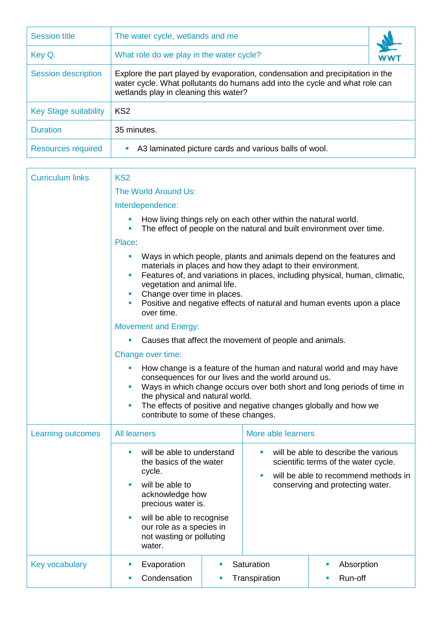| <b>Session title</b>         | The water cycle, wetlands and me                                                                                                                                                                      |  |
|------------------------------|-------------------------------------------------------------------------------------------------------------------------------------------------------------------------------------------------------|--|
| Key Q.                       | What role do we play in the water cycle?                                                                                                                                                              |  |
| <b>Session description</b>   | Explore the part played by evaporation, condensation and precipitation in the<br>water cycle. What pollutants do humans add into the cycle and what role can<br>wetlands play in cleaning this water? |  |
| <b>Key Stage suitability</b> | KS <sub>2</sub>                                                                                                                                                                                       |  |
| <b>Duration</b>              | 35 minutes.                                                                                                                                                                                           |  |
| <b>Resources required</b>    | A3 laminated picture cards and various balls of wool.<br>ш                                                                                                                                            |  |

| <b>Curriculum links</b> | KS <sub>2</sub>                                                                                                                                                                                                                                          |                                                                                                                                                                                                                                                                                                                                                      |                                                                                                                                                                    |                                  |  |
|-------------------------|----------------------------------------------------------------------------------------------------------------------------------------------------------------------------------------------------------------------------------------------------------|------------------------------------------------------------------------------------------------------------------------------------------------------------------------------------------------------------------------------------------------------------------------------------------------------------------------------------------------------|--------------------------------------------------------------------------------------------------------------------------------------------------------------------|----------------------------------|--|
|                         | The World Around Us:                                                                                                                                                                                                                                     |                                                                                                                                                                                                                                                                                                                                                      |                                                                                                                                                                    |                                  |  |
|                         | Interdependence:                                                                                                                                                                                                                                         |                                                                                                                                                                                                                                                                                                                                                      |                                                                                                                                                                    |                                  |  |
|                         | How living things rely on each other within the natural world.<br>The effect of people on the natural and built environment over time.                                                                                                                   |                                                                                                                                                                                                                                                                                                                                                      |                                                                                                                                                                    |                                  |  |
|                         | Place:<br>Ways in which people, plants and animals depend on the features and<br>$\overline{\phantom{a}}$<br>materials in places and how they adapt to their environment.<br>Features of, and variations in places, including physical, human, climatic, |                                                                                                                                                                                                                                                                                                                                                      |                                                                                                                                                                    |                                  |  |
|                         | vegetation and animal life.<br>Change over time in places.<br>п<br>Positive and negative effects of natural and human events upon a place<br>$\blacksquare$<br>over time.                                                                                |                                                                                                                                                                                                                                                                                                                                                      |                                                                                                                                                                    |                                  |  |
|                         | <b>Movement and Energy:</b>                                                                                                                                                                                                                              |                                                                                                                                                                                                                                                                                                                                                      |                                                                                                                                                                    |                                  |  |
|                         | Causes that affect the movement of people and animals.                                                                                                                                                                                                   |                                                                                                                                                                                                                                                                                                                                                      |                                                                                                                                                                    |                                  |  |
|                         | Change over time:                                                                                                                                                                                                                                        |                                                                                                                                                                                                                                                                                                                                                      |                                                                                                                                                                    |                                  |  |
|                         | $\blacksquare$<br>$\blacksquare$<br>$\overline{\phantom{a}}$                                                                                                                                                                                             | How change is a feature of the human and natural world and may have<br>consequences for our lives and the world around us.<br>Ways in which change occurs over both short and long periods of time in<br>the physical and natural world.<br>The effects of positive and negative changes globally and how we<br>contribute to some of these changes. |                                                                                                                                                                    |                                  |  |
| Learning outcomes       | <b>All learners</b>                                                                                                                                                                                                                                      |                                                                                                                                                                                                                                                                                                                                                      | More able learners                                                                                                                                                 |                                  |  |
|                         | will be able to understand<br>$\blacksquare$<br>the basics of the water<br>cycle.                                                                                                                                                                        |                                                                                                                                                                                                                                                                                                                                                      | will be able to describe the various<br>$\blacksquare$<br>scientific terms of the water cycle.<br>will be able to recommend methods in<br>$\overline{\phantom{a}}$ |                                  |  |
|                         | will be able to<br>$\blacksquare$                                                                                                                                                                                                                        | acknowledge how<br>precious water is.                                                                                                                                                                                                                                                                                                                |                                                                                                                                                                    | conserving and protecting water. |  |
|                         | will be able to recognise<br>our role as a species in<br>not wasting or polluting<br>water.                                                                                                                                                              |                                                                                                                                                                                                                                                                                                                                                      |                                                                                                                                                                    |                                  |  |
| <b>Key vocabulary</b>   | Evaporation                                                                                                                                                                                                                                              | $\blacksquare$                                                                                                                                                                                                                                                                                                                                       | Saturation                                                                                                                                                         | Absorption                       |  |
|                         | Condensation                                                                                                                                                                                                                                             |                                                                                                                                                                                                                                                                                                                                                      | Transpiration                                                                                                                                                      | Run-off                          |  |